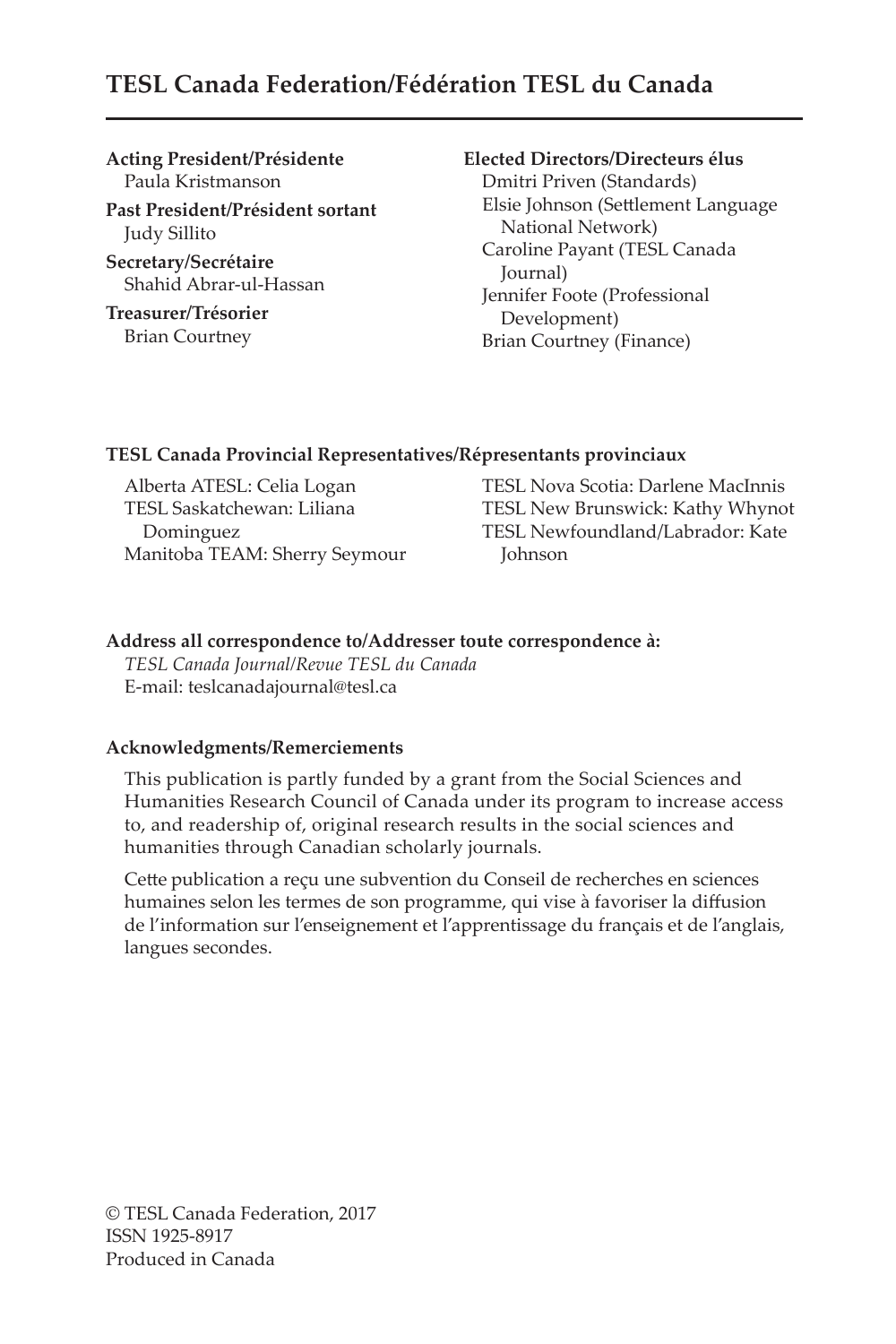# **TESL Canada Federation/Fédération TESL du Canada**

#### **Acting President/Présidente** Paula Kristmanson

**Past President/Président sortant** Judy Sillito

**Secretary/Secrétaire** Shahid Abrar-ul-Hassan

**Treasurer/Trésorier** Brian Courtney

### **Elected Directors/Directeurs élus**

Dmitri Priven (Standards) Elsie Johnson (Settlement Language National Network) Caroline Payant (TESL Canada Journal) Jennifer Foote (Professional Development) Brian Courtney (Finance)

#### **TESL Canada Provincial Representatives/Répresentants provinciaux**

Alberta ATESL: Celia Logan TESL Saskatchewan: Liliana Dominguez Manitoba TEAM: Sherry Seymour

TESL Nova Scotia: Darlene MacInnis TESL New Brunswick: Kathy Whynot TESL Newfoundland/Labrador: Kate Johnson

### **Address all correspondence to/Addresser toute correspondence à:**

*TESL Canada Journal/Revue TESL du Canada* E-mail: teslcanadajournal@tesl.ca

#### **Acknowledgments/Remerciements**

This publication is partly funded by a grant from the Social Sciences and Humanities Research Council of Canada under its program to increase access to, and readership of, original research results in the social sciences and humanities through Canadian scholarly journals.

Cette publication a reçu une subvention du Conseil de recherches en sciences humaines selon les termes de son programme, qui vise à favoriser la diffusion de l'information sur l'enseignement et l'apprentissage du français et de l'anglais, langues secondes.

© TESL Canada Federation, 2017 ISSN 1925-8917 Produced in Canada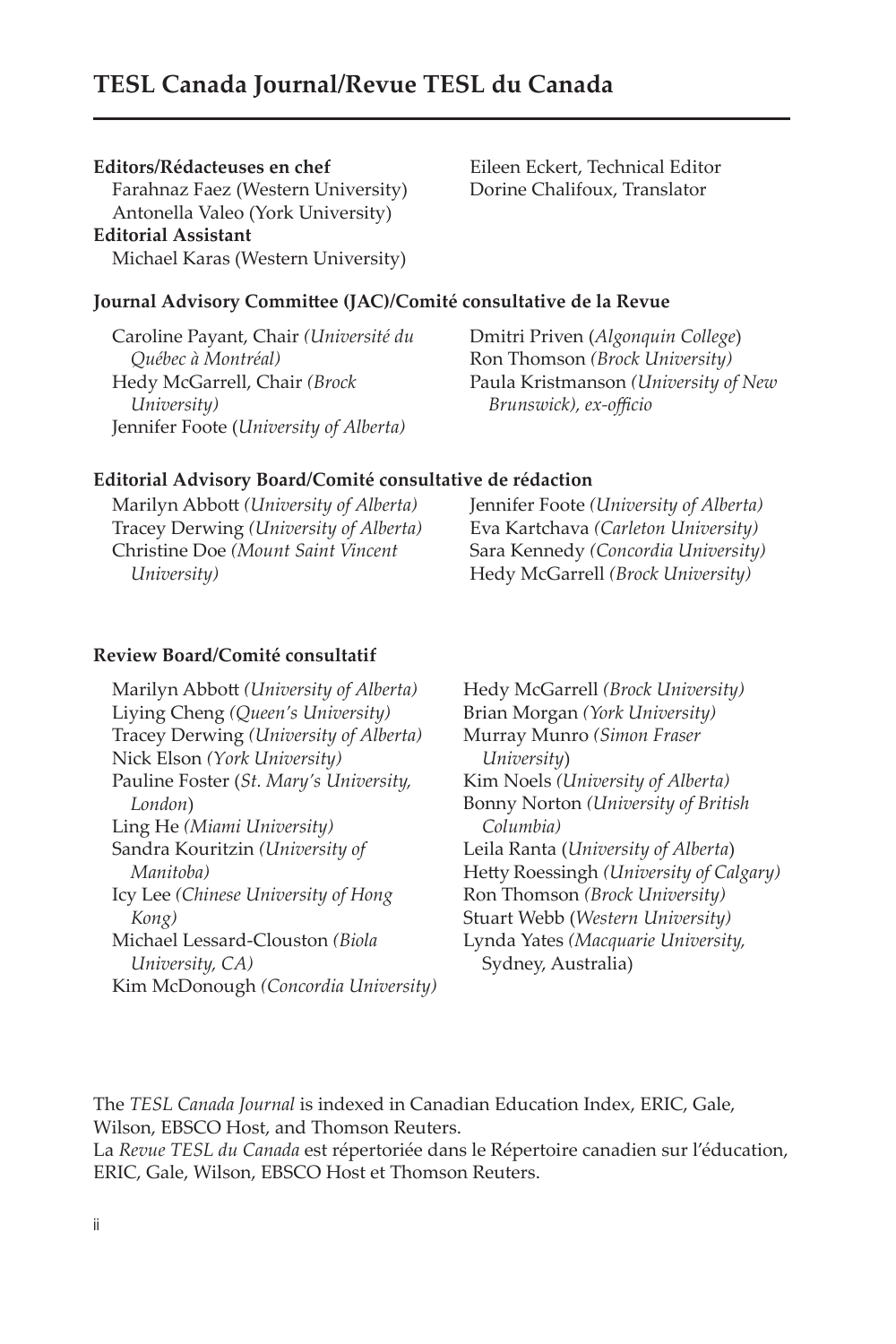## **TESL Canada Journal/Revue TESL du Canada**

#### **Editors/Rédacteuses en chef**

Farahnaz Faez (Western University) Antonella Valeo (York University) **Editorial Assistant** Michael Karas (Western University)

Eileen Eckert, Technical Editor Dorine Chalifoux, Translator

#### **Journal Advisory Committee (JAC)/Comité consultative de la Revue**

Caroline Payant, Chair *(Université du Québec à Montréal)* Hedy McGarrell, Chair *(Brock University)* Jennifer Foote (*University of Alberta)*

Dmitri Priven (*Algonquin College*) Ron Thomson *(Brock University)* Paula Kristmanson *(University of New Brunswick), ex-officio*

#### **Editorial Advisory Board/Comité consultative de rédaction**

Marilyn Abbott *(University of Alberta)* Tracey Derwing *(University of Alberta)* Christine Doe *(Mount Saint Vincent University)* Jennifer Foote *(University of Alberta)* Eva Kartchava *(Carleton University)* Sara Kennedy *(Concordia University)* Hedy McGarrell *(Brock University)*

#### **Review Board/Comité consultatif**

Marilyn Abbott *(University of Alberta)* Liying Cheng *(Queen's University)* Tracey Derwing *(University of Alberta)* Nick Elson *(York University)* Pauline Foster (*St. Mary's University, London*) Ling He *(Miami University)* Sandra Kouritzin *(University of Manitoba)* Icy Lee *(Chinese University of Hong Kong)* Michael Lessard-Clouston *(Biola University, CA)* Kim McDonough *(Concordia University)* Hedy McGarrell *(Brock University)* Brian Morgan *(York University)* Murray Munro *(Simon Fraser University*) Kim Noels *(University of Alberta)* Bonny Norton *(University of British Columbia)* Leila Ranta (*University of Alberta*) Hetty Roessingh *(University of Calgary)* Ron Thomson *(Brock University)* Stuart Webb (*Western University)* Lynda Yates *(Macquarie University,*  Sydney, Australia)

The *TESL Canada Journal* is indexed in Canadian Education Index, ERIC, Gale, Wilson, EBSCO Host, and Thomson Reuters.

La *Revue TESL du Canada* est répertoriée dans le Répertoire canadien sur l'éducation, ERIC, Gale, Wilson, EBSCO Host et Thomson Reuters.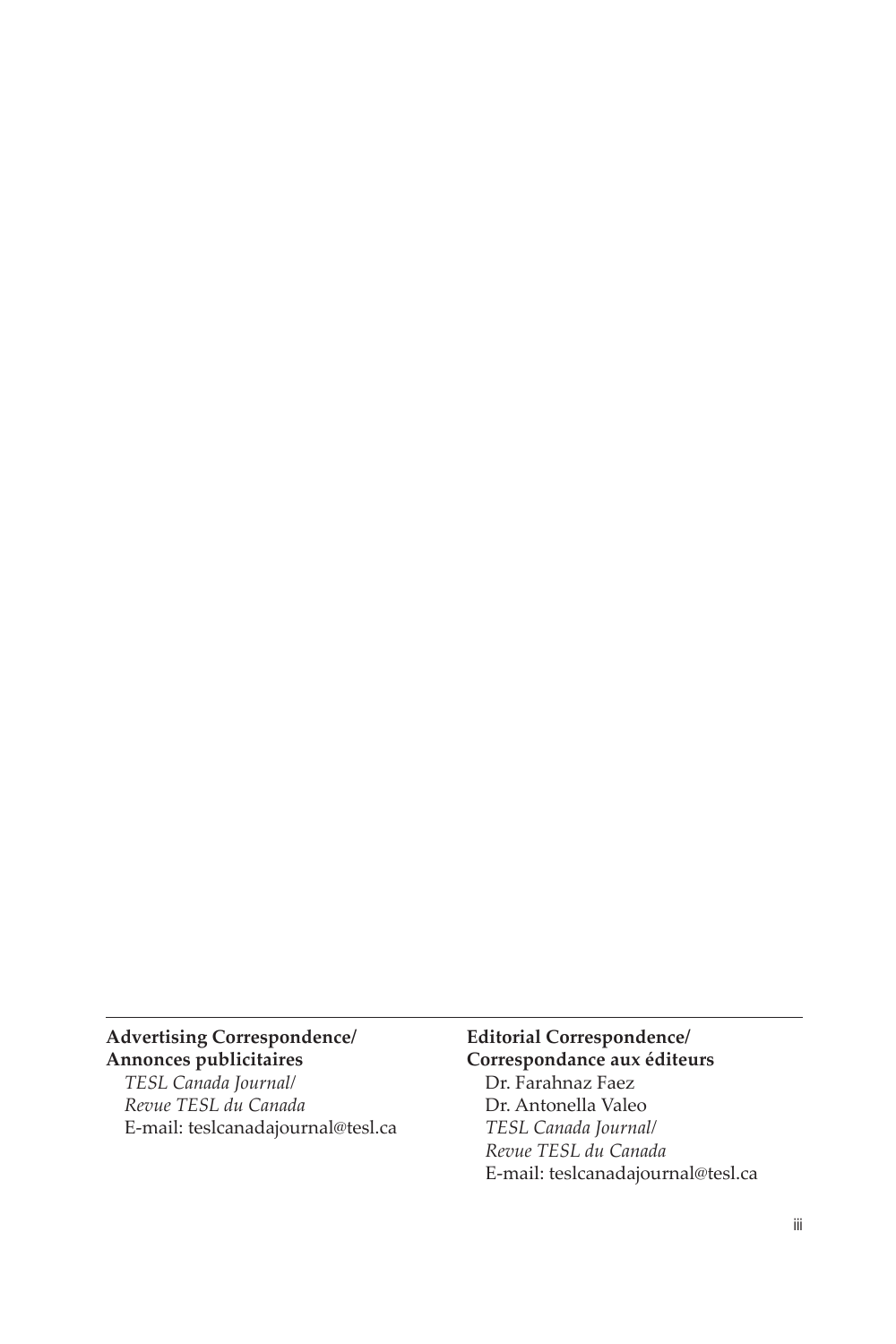### **Advertising Correspondence/ Annonces publicitaires**

*TESL Canada Journal/ Revue TESL du Canada* E-mail: teslcanadajournal@tesl.ca

### **Editorial Correspondence/ Correspondance aux éditeurs** Dr. Farahnaz Faez Dr. Antonella Valeo

*TESL Canada Journal/ Revue TESL du Canada* E-mail: teslcanadajournal@tesl.ca